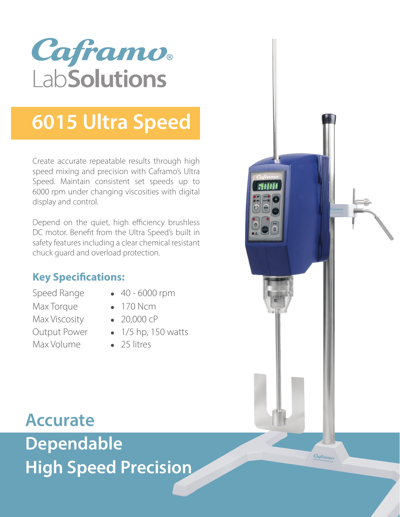

## **6015 Ultra Speed**

Create accurate repeatable results through high speed mixing and precision with Caframo's Ultra Speed. Maintain consistent set speeds up to 6000 rpm under changing viscosities with digital display and control.

Depend on the quiet, high efficiency brushless DC motor. Benefit from the Ultra Speed's built in safety features including a clear chemical resistant chuck guard and overload protection.

### **Key Specifications:**

Max Torque **•** 170 Ncm Max Viscosity **•** 20,000 cP Max Volume **•** 25 litres

- Speed Range **•** 40 6000 rpm
	-
- Output Power **•** 1/5 hp, 150 watts
	-

**Accurate Dependable High Speed Precision**